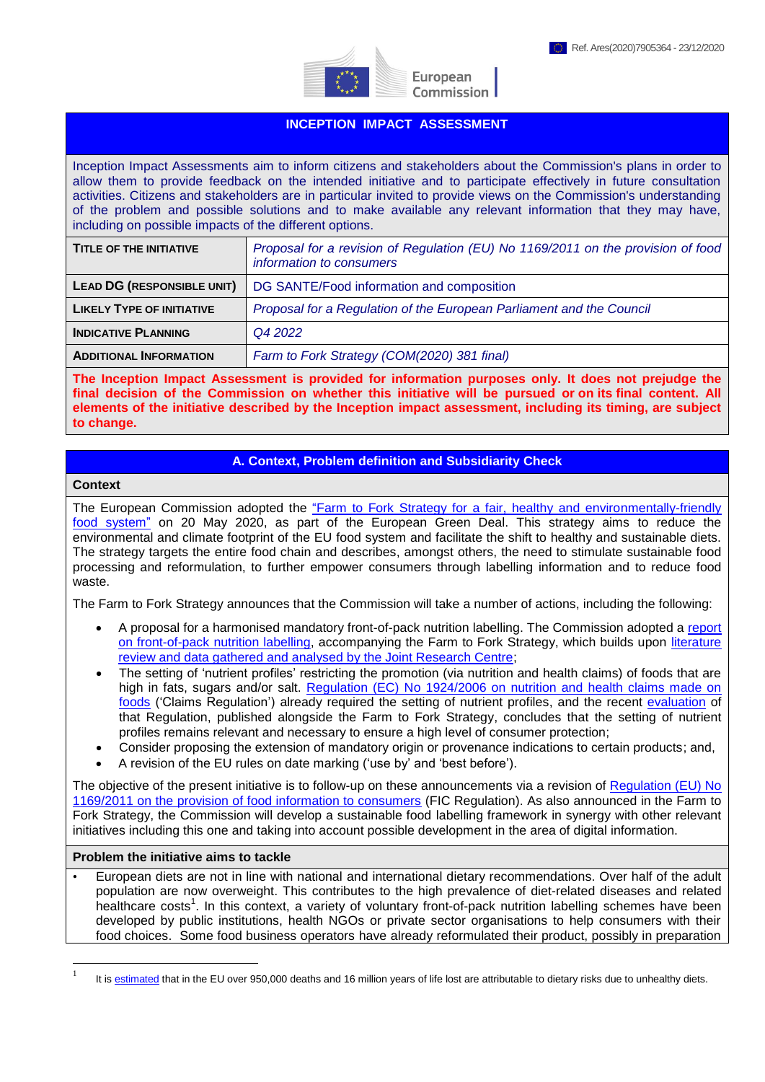

European Commission

## **INCEPTION IMPACT ASSESSMENT**

Inception Impact Assessments aim to inform citizens and stakeholders about the Commission's plans in order to allow them to provide feedback on the intended initiative and to participate effectively in future consultation activities. Citizens and stakeholders are in particular invited to provide views on the Commission's understanding of the problem and possible solutions and to make available any relevant information that they may have, including on possible impacts of the different options.

| <b>TITLE OF THE INITIATIVE</b>    | Proposal for a revision of Regulation (EU) No 1169/2011 on the provision of food<br>information to consumers |  |  |
|-----------------------------------|--------------------------------------------------------------------------------------------------------------|--|--|
| <b>LEAD DG (RESPONSIBLE UNIT)</b> | DG SANTE/Food information and composition                                                                    |  |  |
| <b>LIKELY TYPE OF INITIATIVE</b>  | Proposal for a Regulation of the European Parliament and the Council                                         |  |  |
| <b>INDICATIVE PLANNING</b>        | Q4 2022                                                                                                      |  |  |
| <b>ADDITIONAL INFORMATION</b>     | Farm to Fork Strategy (COM(2020) 381 final)                                                                  |  |  |

**The Inception Impact Assessment is provided for information purposes only. It does not prejudge the final decision of the Commission on whether this initiative will be pursued or on its final content. All elements of the initiative described by the Inception impact assessment, including its timing, are subject to change.**

# **A. Context, Problem definition and Subsidiarity Check**

#### **Context**

1

The European Commission adopted the ["Farm to Fork Strategy for a fair, healthy and environmentally-friendly](https://eur-lex.europa.eu/legal-content/EN/TXT/?uri=CELEX:52020DC0381)  [food system"](https://eur-lex.europa.eu/legal-content/EN/TXT/?uri=CELEX:52020DC0381) on 20 May 2020, as part of the European Green Deal. This strategy aims to reduce the environmental and climate footprint of the EU food system and facilitate the shift to healthy and sustainable diets. The strategy targets the entire food chain and describes, amongst others, the need to stimulate sustainable food processing and reformulation, to further empower consumers through labelling information and to reduce food waste.

The Farm to Fork Strategy announces that the Commission will take a number of actions, including the following:

- A proposal for a harmonised mandatory front-of-pack nutrition labelling. The Commission adopted a [report](https://eur-lex.europa.eu/legal-content/GA/TXT/?uri=CELEX:52020DC0207)  [on front-of-pack nutrition labelling,](https://eur-lex.europa.eu/legal-content/GA/TXT/?uri=CELEX:52020DC0207) accompanying the Farm to Fork Strategy, which builds upon [literature](https://ec.europa.eu/jrc/en/publication/eur-scientific-and-technical-research-reports/front-pack-nutrition-labelling-schemes-comprehensive-review)  [review and data gathered and analysed by the Joint Research Centre;](https://ec.europa.eu/jrc/en/publication/eur-scientific-and-technical-research-reports/front-pack-nutrition-labelling-schemes-comprehensive-review)
- The setting of 'nutrient profiles' restricting the promotion (via nutrition and health claims) of foods that are high in fats, sugars and/or salt. Regulation (EC) No 1924/2006 on nutrition and health claims made on [foods](https://eur-lex.europa.eu/legal-content/en/ALL/?uri=CELEX%3A32006R1924) ('Claims Regulation') already required the setting of nutrient profiles, and the recent [evaluation](https://ec.europa.eu/food/safety/labelling_nutrition/claims/refit_en) of that Regulation, published alongside the Farm to Fork Strategy, concludes that the setting of nutrient profiles remains relevant and necessary to ensure a high level of consumer protection;
- Consider proposing the extension of mandatory origin or provenance indications to certain products; and,
- A revision of the EU rules on date marking ('use by' and 'best before').

The objective of the present initiative is to follow-up on these announcements via a revision of [Regulation \(EU\) No](https://eur-lex.europa.eu/legal-content/EN/ALL/?uri=CELEX%3A32011R1169)  [1169/2011 on the provision of food information to consumers](https://eur-lex.europa.eu/legal-content/EN/ALL/?uri=CELEX%3A32011R1169) (FIC Regulation). As also announced in the Farm to Fork Strategy, the Commission will develop a sustainable food labelling framework in synergy with other relevant initiatives including this one and taking into account possible development in the area of digital information.

#### **Problem the initiative aims to tackle**

• European diets are not in line with national and international dietary recommendations. Over half of the adult population are now overweight. This contributes to the high prevalence of diet-related diseases and related healthcare costs<sup>1</sup>. In this context, a variety of voluntary front-of-pack nutrition labelling schemes have been developed by public institutions, health NGOs or private sector organisations to help consumers with their food choices. Some food business operators have already reformulated their product, possibly in preparation

<sup>1</sup> It i[s estimated](https://ec.europa.eu/jrc/en/health-knowledge-gateway/societal-impacts/burden) that in the EU over 950,000 deaths and 16 million years of life lost are attributable to dietary risks due to unhealthy diets.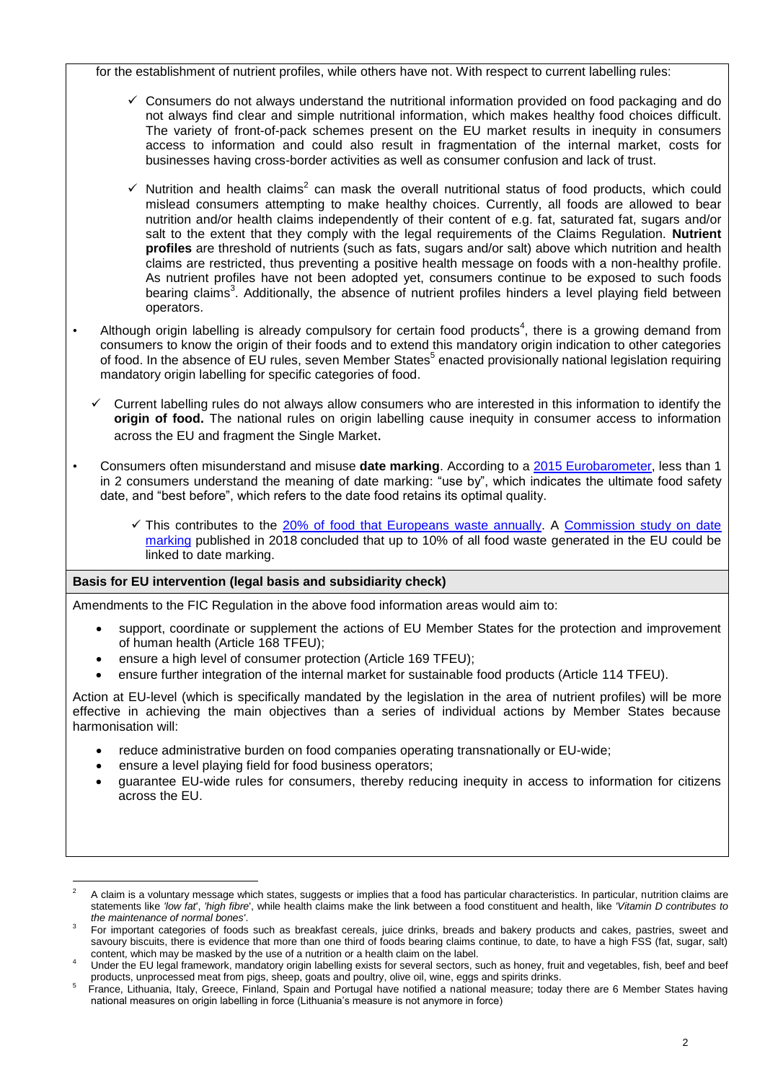for the establishment of nutrient profiles, while others have not. With respect to current labelling rules:

- $\checkmark$  Consumers do not always understand the nutritional information provided on food packaging and do not always find clear and simple nutritional information, which makes healthy food choices difficult. The variety of front-of-pack schemes present on the EU market results in inequity in consumers access to information and could also result in fragmentation of the internal market, costs for businesses having cross-border activities as well as consumer confusion and lack of trust.
- $\checkmark$  Nutrition and health claims<sup>2</sup> can mask the overall nutritional status of food products, which could mislead consumers attempting to make healthy choices. Currently, all foods are allowed to bear nutrition and/or health claims independently of their content of e.g. fat, saturated fat, sugars and/or salt to the extent that they comply with the legal requirements of the Claims Regulation. **Nutrient profiles** are threshold of nutrients (such as fats, sugars and/or salt) above which nutrition and health claims are restricted, thus preventing a positive health message on foods with a non-healthy profile. As nutrient profiles have not been adopted yet, consumers continue to be exposed to such foods bearing claims<sup>3</sup>. Additionally, the absence of nutrient profiles hinders a level playing field between operators.
- Although origin labelling is already compulsory for certain food products<sup>4</sup>, there is a growing demand from consumers to know the origin of their foods and to extend this mandatory origin indication to other categories of food. In the absence of EU rules, seven Member States<sup>5</sup> enacted provisionally national legislation requiring mandatory origin labelling for specific categories of food.
	- Current labelling rules do not always allow consumers who are interested in this information to identify the **origin of food.** The national rules on origin labelling cause inequity in consumer access to information across the EU and fragment the Single Market.
- Consumers often misunderstand and misuse **date marking**. According to a [2015 Eurobarometer,](https://ec.europa.eu/COMMFrontOffice/publicopinion/index.cfm/Survey/getSurveyDetail/instruments/FLASH/surveyKy/2095) less than 1 in 2 consumers understand the meaning of date marking: "use by", which indicates the ultimate food safety date, and "best before", which refers to the date food retains its optimal quality.
	- $\checkmark$  This contributes to the [20% of food that Europeans waste](http://www.eu-fusions.org/phocadownload/Publications/Estimates%20of%20European%20food%20waste%20levels.pdf) annually. A Commission study on date [marking](https://op.europa.eu/en/publication-detail/-/publication/e7be006f-0d55-11e8-966a-01aa75ed71a1/language-en) published in 2018 concluded that up to 10% of all food waste generated in the EU could be linked to date marking.

### **Basis for EU intervention (legal basis and subsidiarity check)**

Amendments to the FIC Regulation in the above food information areas would aim to:

- support, coordinate or supplement the actions of EU Member States for the protection and improvement of human health (Article 168 TFEU);
- ensure a high level of consumer protection (Article 169 TFEU);
- ensure further integration of the internal market for sustainable food products (Article 114 TFEU).

Action at EU-level (which is specifically mandated by the legislation in the area of nutrient profiles) will be more effective in achieving the main objectives than a series of individual actions by Member States because harmonisation will:

- reduce administrative burden on food companies operating transnationally or EU-wide;
- ensure a level playing field for food business operators;
- guarantee EU-wide rules for consumers, thereby reducing inequity in access to information for citizens across the EU.

<sup>&</sup>lt;u>.</u> <sup>2</sup> A claim is a voluntary message which states, suggests or implies that a food has particular characteristics. In particular, nutrition claims are statements like *'low fat*', *'high fibre*', while health claims make the link between a food constituent and health, like *'Vitamin D contributes to the maintenance of normal bones'*.

<sup>3</sup> For important categories of foods such as breakfast cereals, juice drinks, breads and bakery products and cakes, pastries, sweet and sayoury biscuits, there is evidence that more than one third of foods bearing claims continue, to date, to have a high FSS (fat, sugar, salt) content, which may be masked by the use of a nutrition or a health claim on the label.

<sup>4</sup> Under the EU legal framework, mandatory origin labelling exists for several sectors, such as honey, fruit and vegetables, fish, beef and beef products, unprocessed meat from pigs, sheep, goats and poultry, olive oil, wine, eggs and spirits drinks.

<sup>5</sup> France, Lithuania, Italy, Greece, Finland, Spain and Portugal have notified a national measure; today there are 6 Member States having national measures on origin labelling in force (Lithuania's measure is not anymore in force)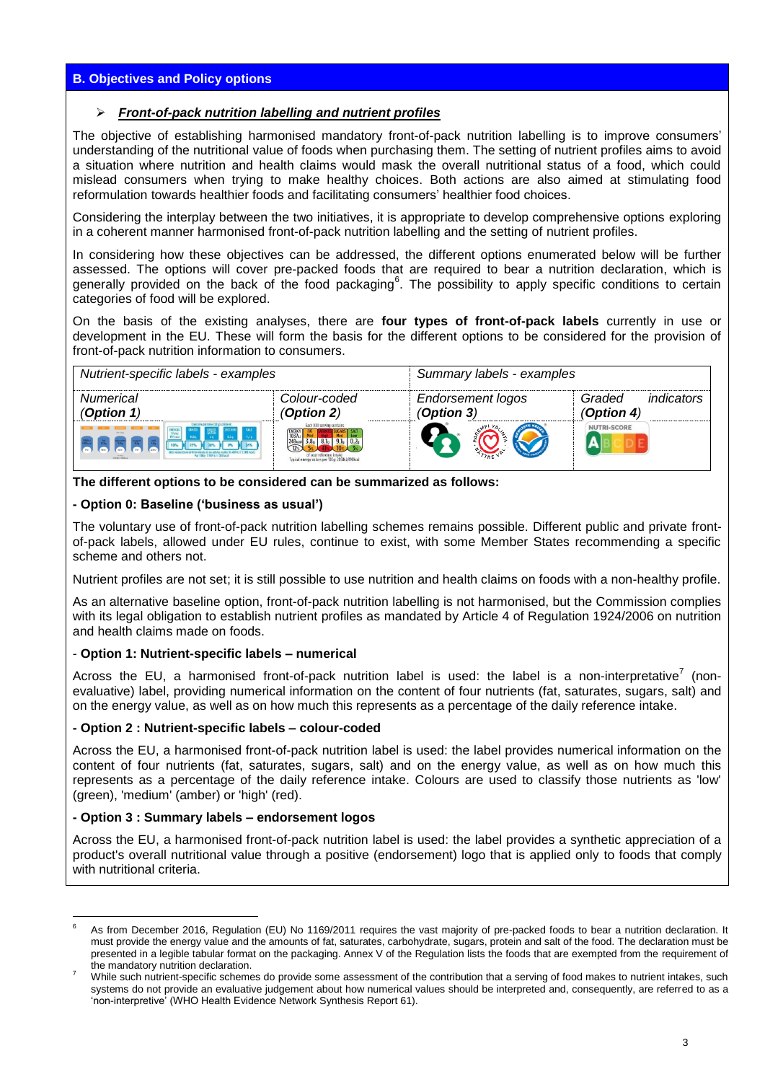# **B. Objectives and Policy options**

### *Front-of-pack nutrition labelling and nutrient profiles*

The objective of establishing harmonised mandatory front-of-pack nutrition labelling is to improve consumers' understanding of the nutritional value of foods when purchasing them. The setting of nutrient profiles aims to avoid a situation where nutrition and health claims would mask the overall nutritional status of a food, which could mislead consumers when trying to make healthy choices. Both actions are also aimed at stimulating food reformulation towards healthier foods and facilitating consumers' healthier food choices.

Considering the interplay between the two initiatives, it is appropriate to develop comprehensive options exploring in a coherent manner harmonised front-of-pack nutrition labelling and the setting of nutrient profiles.

In considering how these objectives can be addressed, the different options enumerated below will be further assessed. The options will cover pre-packed foods that are required to bear a nutrition declaration, which is generally provided on the back of the food packaging<sup>6</sup>. The possibility to apply specific conditions to certain categories of food will be explored.

On the basis of the existing analyses, there are **four types of front-of-pack labels** currently in use or development in the EU. These will form the basis for the different options to be considered for the provision of front-of-pack nutrition information to consumers.

| Nutrient-specific labels - examples                                                           |                                                                                                                                                         | Summary labels - examples       |                                    |
|-----------------------------------------------------------------------------------------------|---------------------------------------------------------------------------------------------------------------------------------------------------------|---------------------------------|------------------------------------|
| Numerical<br>(Option $1$ )                                                                    | Colour-coded<br>(Option 2)                                                                                                                              | Endorsement logos<br>(Option 3) | indicators<br>Graded<br>(Option 4) |
| Class: me parolane (38 g) contiene:<br>Par 1986 1585 kit (Millera)<br><b>TARIN LE SERVICE</b> | Each XXX serving contains<br>$\begin{array}{c}\n 1037k \\ 1037k \\ 248k \\ \hline\n 12\n \end{array}$<br>Typical energy values per 100g: 2058k1/098kcal |                                 | NUTRI-SCORE                        |

**The different options to be considered can be summarized as follows:**

### **- Option 0: Baseline ('business as usual')**

The voluntary use of front-of-pack nutrition labelling schemes remains possible. Different public and private frontof-pack labels, allowed under EU rules, continue to exist, with some Member States recommending a specific scheme and others not.

Nutrient profiles are not set; it is still possible to use nutrition and health claims on foods with a non-healthy profile.

As an alternative baseline option, front-of-pack nutrition labelling is not harmonised, but the Commission complies with its legal obligation to establish nutrient profiles as mandated by Article 4 of Regulation 1924/2006 on nutrition and health claims made on foods.

### - **Option 1: Nutrient-specific labels – numerical**

Across the EU, a harmonised front-of-pack nutrition label is used: the label is a non-interpretative<sup>7</sup> (nonevaluative) label, providing numerical information on the content of four nutrients (fat, saturates, sugars, salt) and on the energy value, as well as on how much this represents as a percentage of the daily reference intake.

#### **- Option 2 : Nutrient-specific labels – colour-coded**

Across the EU, a harmonised front-of-pack nutrition label is used: the label provides numerical information on the content of four nutrients (fat, saturates, sugars, salt) and on the energy value, as well as on how much this represents as a percentage of the daily reference intake. Colours are used to classify those nutrients as 'low' (green), 'medium' (amber) or 'high' (red).

#### **- Option 3 : Summary labels – endorsement logos**

Across the EU, a harmonised front-of-pack nutrition label is used: the label provides a synthetic appreciation of a product's overall nutritional value through a positive (endorsement) logo that is applied only to foods that comply with nutritional criteria.

<sup>1</sup> <sup>6</sup> As from December 2016, [Regulation \(EU\) No 1169/2011](https://eur-lex.europa.eu/legal-content/EN/TXT/?uri=CELEX:02011R1169-20180101) requires the vast majority of pre-packed foods to bear a nutrition declaration. It must provide the energy value and the amounts of fat, saturates, carbohydrate, sugars, protein and salt of the food. The declaration must be presented in a legible tabular format on the packaging. Annex V of the Regulation lists the foods that are exempted from the requirement of the mandatory nutrition declaration.

While such nutrient-specific schemes do provide some assessment of the contribution that a serving of food makes to nutrient intakes, such systems do not provide an evaluative judgement about how numerical values should be interpreted and, consequently, are referred to as a 'non-interpretive' (WHO Health Evidence Network Synthesis Report 61).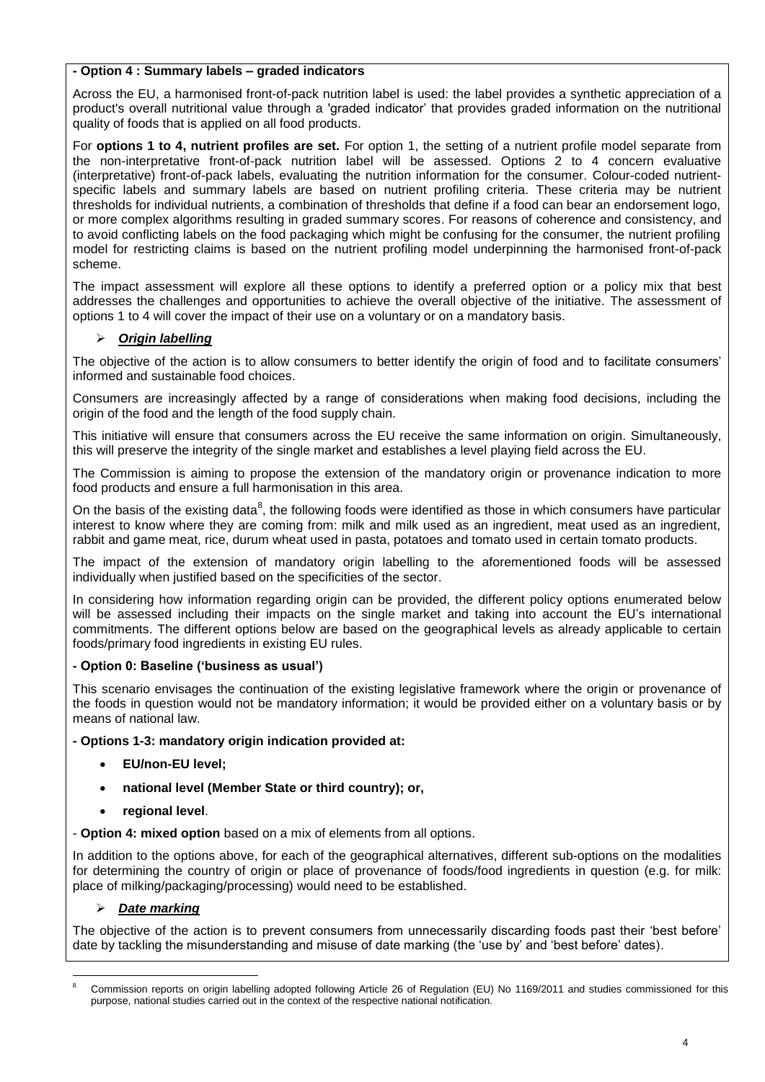# **- Option 4 : Summary labels – graded indicators**

Across the EU, a harmonised front-of-pack nutrition label is used: the label provides a synthetic appreciation of a product's overall nutritional value through a 'graded indicator' that provides graded information on the nutritional quality of foods that is applied on all food products.

For **options 1 to 4, nutrient profiles are set.** For option 1, the setting of a nutrient profile model separate from the non-interpretative front-of-pack nutrition label will be assessed. Options 2 to 4 concern evaluative (interpretative) front-of-pack labels, evaluating the nutrition information for the consumer. Colour-coded nutrientspecific labels and summary labels are based on nutrient profiling criteria. These criteria may be nutrient thresholds for individual nutrients, a combination of thresholds that define if a food can bear an endorsement logo, or more complex algorithms resulting in graded summary scores. For reasons of coherence and consistency, and to avoid conflicting labels on the food packaging which might be confusing for the consumer, the nutrient profiling model for restricting claims is based on the nutrient profiling model underpinning the harmonised front-of-pack scheme.

The impact assessment will explore all these options to identify a preferred option or a policy mix that best addresses the challenges and opportunities to achieve the overall objective of the initiative. The assessment of options 1 to 4 will cover the impact of their use on a voluntary or on a mandatory basis.

# *Origin labelling*

The objective of the action is to allow consumers to better identify the origin of food and to facilitate consumers' informed and sustainable food choices.

Consumers are increasingly affected by a range of considerations when making food decisions, including the origin of the food and the length of the food supply chain.

This initiative will ensure that consumers across the EU receive the same information on origin. Simultaneously, this will preserve the integrity of the single market and establishes a level playing field across the EU.

The Commission is aiming to propose the extension of the mandatory origin or provenance indication to more food products and ensure a full harmonisation in this area.

On the basis of the existing data<sup>8</sup>, the following foods were identified as those in which consumers have particular interest to know where they are coming from: milk and milk used as an ingredient, meat used as an ingredient, rabbit and game meat, rice, durum wheat used in pasta, potatoes and tomato used in certain tomato products.

The impact of the extension of mandatory origin labelling to the aforementioned foods will be assessed individually when justified based on the specificities of the sector.

In considering how information regarding origin can be provided, the different policy options enumerated below will be assessed including their impacts on the single market and taking into account the EU's international commitments. The different options below are based on the geographical levels as already applicable to certain foods/primary food ingredients in existing EU rules.

### **- Option 0: Baseline ('business as usual')**

This scenario envisages the continuation of the existing legislative framework where the origin or provenance of the foods in question would not be mandatory information; it would be provided either on a voluntary basis or by means of national law.

### **- Options 1-3: mandatory origin indication provided at:**

- **EU/non-EU level;**
- **national level (Member State or third country); or,**
- **regional level**.

- **Option 4: mixed option** based on a mix of elements from all options.

In addition to the options above, for each of the geographical alternatives, different sub-options on the modalities for determining the country of origin or place of provenance of foods/food ingredients in question (e.g. for milk: place of milking/packaging/processing) would need to be established.

# *Date marking*

The objective of the action is to prevent consumers from unnecessarily discarding foods past their 'best before' date by tackling the misunderstanding and misuse of date marking (the 'use by' and 'best before' dates).

<sup>1</sup> <sup>8</sup> Commission reports on origin labelling adopted following Article 26 of Regulation (EU) No 1169/2011 and studies commissioned for this purpose, national studies carried out in the context of the respective national notification.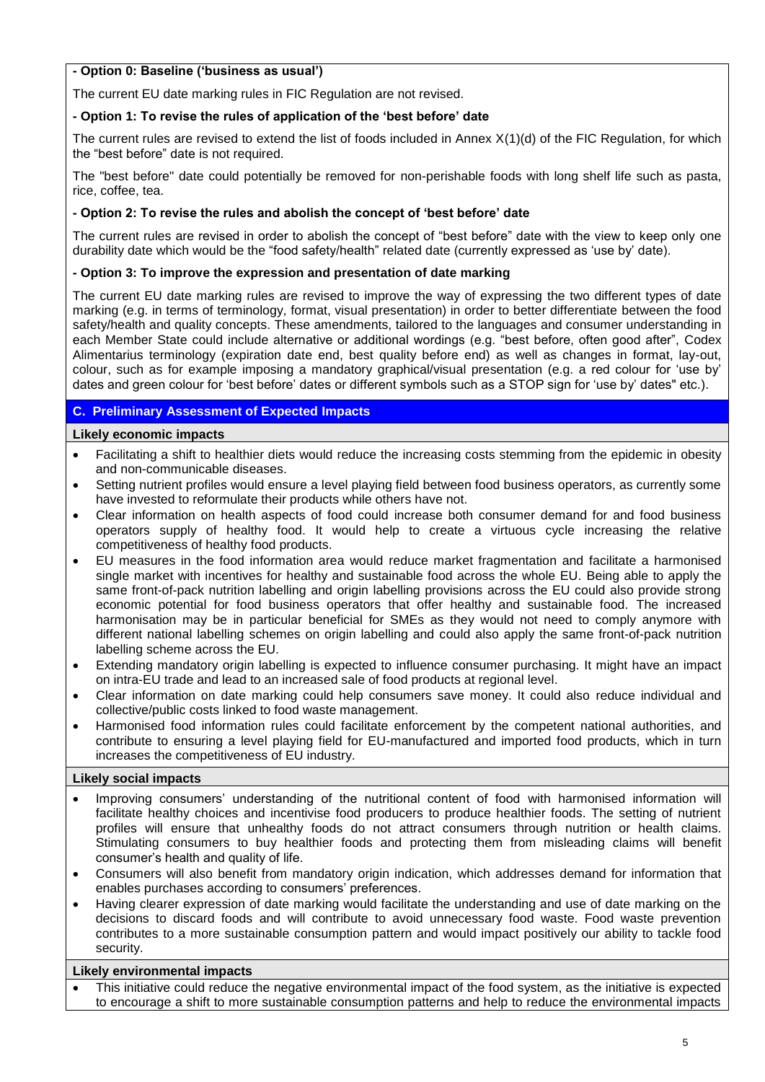# **- Option 0: Baseline ('business as usual')**

The current EU date marking rules in FIC Regulation are not revised.

# **- Option 1: To revise the rules of application of the 'best before' date**

The current rules are revised to extend the list of foods included in Annex X(1)(d) of the FIC Regulation, for which the "best before" date is not required.

The "best before" date could potentially be removed for non-perishable foods with long shelf life such as pasta, rice, coffee, tea.

# **- Option 2: To revise the rules and abolish the concept of 'best before' date**

The current rules are revised in order to abolish the concept of "best before" date with the view to keep only one durability date which would be the "food safety/health" related date (currently expressed as 'use by' date).

# **- Option 3: To improve the expression and presentation of date marking**

The current EU date marking rules are revised to improve the way of expressing the two different types of date marking (e.g. in terms of terminology, format, visual presentation) in order to better differentiate between the food safety/health and quality concepts. These amendments, tailored to the languages and consumer understanding in each Member State could include alternative or additional wordings (e.g. "best before, often good after", Codex Alimentarius terminology (expiration date end, best quality before end) as well as changes in format, lay-out, colour, such as for example imposing a mandatory graphical/visual presentation (e.g. a red colour for 'use by' dates and green colour for 'best before' dates or different symbols such as a STOP sign for 'use by' dates" etc.).

# **C. Preliminary Assessment of Expected Impacts**

# **Likely economic impacts**

- Facilitating a shift to healthier diets would reduce the increasing costs stemming from the epidemic in obesity and non-communicable diseases.
- Setting nutrient profiles would ensure a level playing field between food business operators, as currently some have invested to reformulate their products while others have not.
- Clear information on health aspects of food could increase both consumer demand for and food business operators supply of healthy food. It would help to create a virtuous cycle increasing the relative competitiveness of healthy food products.
- EU measures in the food information area would reduce market fragmentation and facilitate a harmonised single market with incentives for healthy and sustainable food across the whole EU. Being able to apply the same front-of-pack nutrition labelling and origin labelling provisions across the EU could also provide strong economic potential for food business operators that offer healthy and sustainable food. The increased harmonisation may be in particular beneficial for SMEs as they would not need to comply anymore with different national labelling schemes on origin labelling and could also apply the same front-of-pack nutrition labelling scheme across the EU.
- Extending mandatory origin labelling is expected to influence consumer purchasing. It might have an impact on intra-EU trade and lead to an increased sale of food products at regional level.
- Clear information on date marking could help consumers save money. It could also reduce individual and collective/public costs linked to food waste management.
- Harmonised food information rules could facilitate enforcement by the competent national authorities, and contribute to ensuring a level playing field for EU-manufactured and imported food products, which in turn increases the competitiveness of EU industry.

# **Likely social impacts**

- Improving consumers' understanding of the nutritional content of food with harmonised information will facilitate healthy choices and incentivise food producers to produce healthier foods. The setting of nutrient profiles will ensure that unhealthy foods do not attract consumers through nutrition or health claims. Stimulating consumers to buy healthier foods and protecting them from misleading claims will benefit consumer's health and quality of life.
- Consumers will also benefit from mandatory origin indication, which addresses demand for information that enables purchases according to consumers' preferences.
- Having clearer expression of date marking would facilitate the understanding and use of date marking on the decisions to discard foods and will contribute to avoid unnecessary food waste. Food waste prevention contributes to a more sustainable consumption pattern and would impact positively our ability to tackle food security.

# **Likely environmental impacts**

 This initiative could reduce the negative environmental impact of the food system, as the initiative is expected to encourage a shift to more sustainable consumption patterns and help to reduce the environmental impacts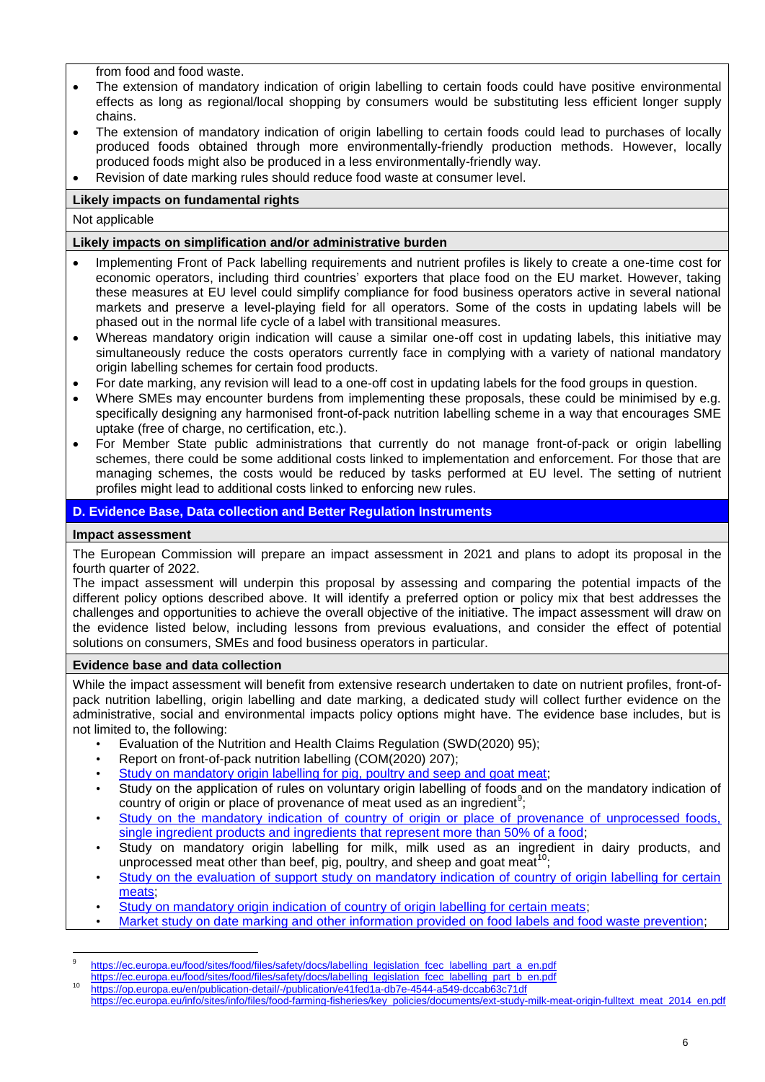from food and food waste.

- The extension of mandatory indication of origin labelling to certain foods could have positive environmental effects as long as regional/local shopping by consumers would be substituting less efficient longer supply chains.
- The extension of mandatory indication of origin labelling to certain foods could lead to purchases of locally produced foods obtained through more environmentally-friendly production methods. However, locally produced foods might also be produced in a less environmentally-friendly way.
- Revision of date marking rules should reduce food waste at consumer level.

# **Likely impacts on fundamental rights**

Not applicable

### **Likely impacts on simplification and/or administrative burden**

- Implementing Front of Pack labelling requirements and nutrient profiles is likely to create a one-time cost for economic operators, including third countries' exporters that place food on the EU market. However, taking these measures at EU level could simplify compliance for food business operators active in several national markets and preserve a level-playing field for all operators. Some of the costs in updating labels will be phased out in the normal life cycle of a label with transitional measures.
- Whereas mandatory origin indication will cause a similar one-off cost in updating labels, this initiative may simultaneously reduce the costs operators currently face in complying with a variety of national mandatory origin labelling schemes for certain food products.
- For date marking, any revision will lead to a one-off cost in updating labels for the food groups in question.
- Where SMEs may encounter burdens from implementing these proposals, these could be minimised by e.g. specifically designing any harmonised front-of-pack nutrition labelling scheme in a way that encourages SME uptake (free of charge, no certification, etc.).
- For Member State public administrations that currently do not manage front-of-pack or origin labelling schemes, there could be some additional costs linked to implementation and enforcement. For those that are managing schemes, the costs would be reduced by tasks performed at EU level. The setting of nutrient profiles might lead to additional costs linked to enforcing new rules.

# **D. Evidence Base, Data collection and Better Regulation Instruments**

#### **Impact assessment**

1

The European Commission will prepare an impact assessment in 2021 and plans to adopt its proposal in the fourth quarter of 2022.

The impact assessment will underpin this proposal by assessing and comparing the potential impacts of the different policy options described above. It will identify a preferred option or policy mix that best addresses the challenges and opportunities to achieve the overall objective of the initiative. The impact assessment will draw on the evidence listed below, including lessons from previous evaluations, and consider the effect of potential solutions on consumers, SMEs and food business operators in particular.

#### **Evidence base and data collection**

While the impact assessment will benefit from extensive research undertaken to date on nutrient profiles, front-ofpack nutrition labelling, origin labelling and date marking, a dedicated study will collect further evidence on the administrative, social and environmental impacts policy options might have. The evidence base includes, but is not limited to, the following:

- Evaluation of the Nutrition and Health Claims Regulation (SWD(2020) 95);
- Report on front-of-pack nutrition labelling (COM(2020) 207);
- [Study on mandatory origin labelling for pig, poultry and seep and goat meat;](https://ec.europa.eu/info/sites/info/files/food-farming-fisheries/key_policies/documents/ext-eval-origin-labelling-fulltext_2013_en.pdf)
- Study on the application of rules on voluntary origin labelling of foods and on the mandatory indication of country of origin or place of provenance of meat used as an ingredient<sup>9</sup>;
- Study on the mandatory indication of country of origin or place of provenance of unprocessed foods, [single ingredient products and ingredients that represent more than 50% of a food;](https://ec.europa.eu/food/sites/food/files/safety/docs/labelling_legislation_final_report_ew_02_15_284_en.pdf)
- Study on mandatory origin labelling for milk, milk used as an ingredient in dairy products, and unprocessed meat other than beef, pig, poultry, and sheep and goat meat<sup>10</sup>;
- [Study on the evaluation of support study on mandatory indication of country of origin labelling for certain](https://ec.europa.eu/info/news/publication-evaluation-support-study-mandatory-indication-country-origin-labelling-certain-meats-2020-)  [meats;](https://ec.europa.eu/info/news/publication-evaluation-support-study-mandatory-indication-country-origin-labelling-certain-meats-2020-)
- [Study on mandatory origin indication of country of origin labelling for certain meats;](https://op.europa.eu/s/orge)
- [Market study on date marking and other information provided on food labels and food waste prevention;](https://publications.europa.eu/en/publication-detail/-/publication/e7be006f-0d55-11e8-966a-01aa75ed71a1/language-en)

<sup>9</sup> [https://ec.europa.eu/food/sites/food/files/safety/docs/labelling\\_legislation\\_fcec\\_labelling\\_part\\_a\\_en.pdf](https://ec.europa.eu/food/sites/food/files/safety/docs/labelling_legislation_fcec_labelling_part_a_en.pdf)

https://ec.europa.eu/food/sites/food/files/safety/docs/labelling\_legislation\_fcec\_labelling\_part\_b\_en.pdf

<https://op.europa.eu/en/publication-detail/-/publication/e41fed1a-db7e-4544-a549-dccab63c71df>

[https://ec.europa.eu/info/sites/info/files/food-farming-fisheries/key\\_policies/documents/ext-study-milk-meat-origin-fulltext\\_meat\\_2014\\_en.pdf](https://ec.europa.eu/info/sites/info/files/food-farming-fisheries/key_policies/documents/ext-study-milk-meat-origin-fulltext_meat_2014_en.pdf)